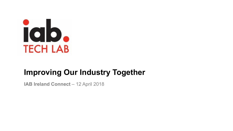

# **Improving Our Industry Together**

**IAB Ireland Connect - 12 April 2018**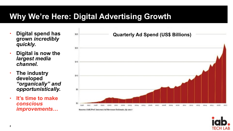# **Why We're Here: Digital Advertising Growth**

- **Digital spend has grown** *incredibly quickly.*
- **Digital is now the**  *largest media channel.*
- **The industry developed**  *"organically" and opportunistically.*
- **It's time to make**  *conscious improvements…*



Source: IAB/PwC Internet Ad Revenue Estimate, Q1 2017

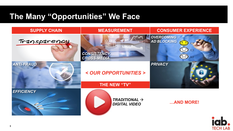# **The Many "Opportunities" We Face**



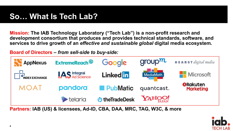**Mission: The IAB Technology Laboratory ("Tech Lab") is a non-profit research and development consortium that produces and provides technical standards, software, and services to drive growth of an** *effective and sustainable global* **digital media ecosystem***.* 

**Board of Directors –** *from sell-side to buy-side:*



**Partners: IAB (US) & licensees, Ad-ID, CBA, DAA, MRC, TAG, W3C, & more**

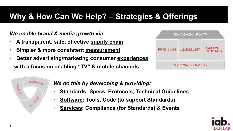# **Why & How Can We Help? – Strategies & Offerings**

*We enable brand & media growth via:* 

- **A transparent, safe, effective supply chain**
- **Simpler & more consistent measurement**
- **Better advertising/marketing consumer experiences**

**...with a focus on enabling "TV" & mobile channels** 

| <b>BRAND &amp; MEDIA GROWTH</b> |                    |                                       |  |  |  |
|---------------------------------|--------------------|---------------------------------------|--|--|--|
| <b>SUPPLY CHAIN</b>             | <b>MEASUREMENT</b> | <b>CONSUMER</b><br><b>EXPERIENCES</b> |  |  |  |
| "TV" / MOBILE CHANNELS          |                    |                                       |  |  |  |



*We do this by developing & providing:* 

- **Standards: Specs, Protocols, Technical Guidelines**
- **Software: Tools, Code (to support Standards)**
- **Services: Compliance (for Standards) & Events**

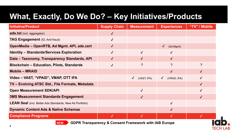# **What, Exactly, Do We Do? – Key Initiatives/Products**

| <b>Initiative/Product</b>                                       | <b>Supply Chain</b> | <b>Measurement</b>        | <b>Experiences</b>         | "TV" / Mobile |
|-----------------------------------------------------------------|---------------------|---------------------------|----------------------------|---------------|
| <b>ads.txt</b> (incl. aggregator)                               | $\checkmark$        |                           |                            |               |
| <b>TAG Engagement</b> (ID, Anti-fraud)                          | $\checkmark$        |                           |                            |               |
| OpenMedia - OpenRTB, Ad Mgmt. API, ads.cert                     |                     |                           | $\checkmark$<br>(Ad Mgmt)  |               |
| <b>Identity - Standards/Services Exploration</b>                |                     | $\sqrt{ }$                |                            |               |
| Data - Taxonomy, Transparency Standards, API                    |                     |                           |                            |               |
| <b>Blockchain - Education, Pilots, Standards</b>                |                     | $\overline{?}$            | $\overline{?}$             | $\mathcal{P}$ |
| <b>Mobile - MRAID</b>                                           |                     |                           | $\sqrt{}$                  |               |
| Video – VAST, "VPAID", VMAP, OTT IFA                            |                     | $\sqrt{ }$<br>(VAST, IFA) | (VPAID, IFA)<br>$\sqrt{ }$ |               |
| TV - Evolving ATSC Std., File Formats, Metadata                 |                     |                           |                            |               |
| <b>Open Measurement SDK/API</b>                                 |                     | $\checkmark$              |                            | $\checkmark$  |
| <b>3MS Measurement Standards Engagement</b>                     |                     | $\checkmark$              |                            | $\checkmark$  |
| <b>LEAN Seal</b> (incl. Better Ads Standards, New Ad Portfolio) |                     |                           | $\sqrt{ }$                 |               |
| <b>Dynamic Content Ads &amp; Native Schemas</b>                 |                     |                           | $\checkmark$               |               |
| <b>Compliance Programs</b>                                      |                     |                           |                            |               |



**NEW GDPR Transparency & Consent Framework with IAB Europe**

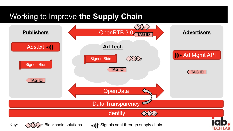# Working to Improve **the Supply Chain**

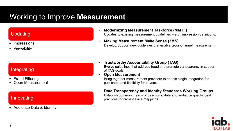# Working to Improve **Measurement**

### Updating

- **Impressions**
- **Viewability**

#### • **Modernizing Measurement Taskforce (MMTF)** Updates to existing measurement guidelines – e.g., impression definitions.

• **Making Measurement Make Sense (3MS)** Develop/Support new guidelines that enable cross-channel measurement.

### Integrating

- Fraud Filtering
- Open Measurement

### Innovating

• Audience Data & Identity

- **Trustworthy Accountability Group (TAG)** Evolve guidelines that address fraud and promote transparency in support of TAG goals.
- **Open Measurement**

Bring together measurement providers to enable single integration for publishers and flexibility for buyers.

• **Data Transparency and Identity Standards Working Groups** Establish common means of describing data and audience quality, best practices for cross-device mappings.

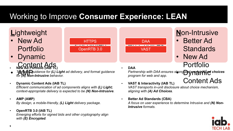# Working to Improve **Consumer Experience: LEAN**

# **L**ightweight

- New Ad Portfolio
- Dynamic
- Content Ads **New Ad Portfolio (IAB TL)**
- **Technical guidance for (L) Light** ad delivery, and format guidance for *the intrusive behavior for (N) Non-Intrusive behavior.*
- **Dynamic Content Ads (IAB TL)**

*Efficient communication of ad components aligns with (L) Light; context-appropriate delivery is expected to be (N) Non-Intrusive.* 

- **AMP (AMP)** *By design, a mobile-friendly, (L) Light delivery package.*
- **OpenRTB 3.0 (IAB TL)** *Emerging efforts for signed bids and other cryptography align with (E) Encrypted.*

• **DAA**

DAA

VAST

**Partnership with DAA ensures strong and uperful <b>(A) ad choices**<br>program for web and app *program for web and app.* 

**N**on-Intrusive

• Better Ad

Portfolio

• New Ad

**Standards** 

- Content Ads • **VAST & Interactivity (IAB TL)** *VAST transports in-unit disclosure about choice mechanism, aligning with (A) Ad Choices.*
- **Better Ad Standards (CBA)** *A focus on user experience to determine Intrusive and (N) Non-Intrusive formats.*



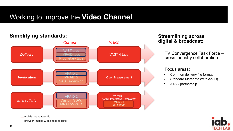### Working to Improve the **Video Channel**

#### **Simplifying standards: Streamlining across**  *Verification* VPAID 2 MRAID 2 VAST extension Open Measurement *Interactivity* VPAID 2 Custom SDKs MRAID/VPAID "VPAID-I" "VAST Interactive Templates" MRAID3 (out-stream) *Delivery* **VAST** tags **VPAID tags** Proprietary tag VAST 4 tags *Current Vision*

**\_\_** mobile in-app specific

**\_\_** browser (mobile & desktop) specific

# **digital & broadcast:**

- TV Convergence Task Force cross-industry collaboration
- Focus areas:
	- Common delivery file format
	- Standard Metadata (with Ad-ID)
	- ATSC partnership

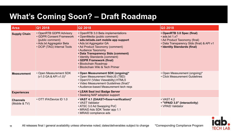# **What's Coming Soon? – Draft Roadmap**

| <b>Area</b>                      | Q1 2018                                                                                                                             | Q2 2018                                                                                                                                                                                                                                                                                                                                                         | Q3 2018                                                                                                                                                          |
|----------------------------------|-------------------------------------------------------------------------------------------------------------------------------------|-----------------------------------------------------------------------------------------------------------------------------------------------------------------------------------------------------------------------------------------------------------------------------------------------------------------------------------------------------------------|------------------------------------------------------------------------------------------------------------------------------------------------------------------|
| <b>Supply Chain</b>              | • OpenRTB GDPR Advisory<br>• GDPR Consent Framework<br>(public comment)<br>• Ads.txt Aggregator Beta<br>• DCIP (TAG) Internal Tools | • OpenRTB 3.0 Beta implementations<br>• OpenMedia (public comment)<br>• ads.txt/ads.cert mobile app support<br>• Ads.txt Aggregator GA<br>• Ad Product Taxonomy (comment)<br>• Audience Taxonomy<br>• Data Transparency Stds (comment)<br>• Identity Standards (comment)<br>• GDPR Framework (final)<br>• Blockchain Roadmap<br>• Blockchain Wiki & Tech Primer | • OpenRTB 3.0 Spec (final)<br>$\cdot$ ads.txt 1.x?<br>• Ad Product Taxonomy (final)<br>• Data Transparency Stds (final) & API v1<br>• Identity Standards (final) |
| <b>Measurement</b>               | • Open Measurement SDK<br>(v1.0 GA & API v1.0)*                                                                                     | • Open Measurement SDK (ongoing)*<br>• Open Measurement Web/JS (TBD)<br>• OpenVV (Video Viewability) HTML5<br>• Video Measurement Guidelines (final)*<br>• Audience-based Measurement tech reqs                                                                                                                                                                 | • Open Measurement (ongoing)*<br>• Click Measurement Guidelines                                                                                                  |
| <b>Experiences</b>               |                                                                                                                                     | • LEAN Seal incl Badge Server<br>• Seeking NAP adoption support                                                                                                                                                                                                                                                                                                 |                                                                                                                                                                  |
| <b>Channels</b><br>(Mobile & TV) | • OTT IFA/Device ID 1.0                                                                                                             | • VAST 4.1 (DAAST+fixes+verification)*<br>• VAST Validator<br>• ATSC 3.0 Ad Swapping PoC<br>• MRAID Ads SDK Tester app 1.1<br>• MRAID compliance ads                                                                                                                                                                                                            | $\cdot$ VAST 4.2<br>• "VPAID 3.0" (interactivity)<br>• VPAID Validator                                                                                           |

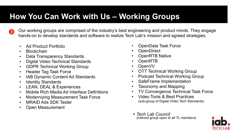# **How You Can Work with Us – Working Groups**

Our working groups are comprised of the industry's best engineering and product minds. They engage hands-on to develop standards and software to realize Tech Lab's mission and agreed strategies.

- Ad Product Portfolio
- Blockchain
- Data Transparency Standards
- Digital Video Technical Standards
- GDPR Technical Working Group
- Header Tag Task Force
- IAB Dynamic Content Ad Standards
- Identity Standards
- LEAN, DEAL & Experiences
- Mobile Rich Media Ad Interface Definitions
- Modernizing Measurement Task Force
- MRAID Ads SDK Tester
- Open Measurement
- OpenData Task Force
- **OpenDirect**
- OpenRTB Native
- OpenRTB
- OpenVV
- OTT Technical Working Group
- Podcast Technical Working Group
- SafeFrame Implementation
- Taxonomy and Mapping
- TV Convergence Technical Task Force
- Video Tools & Best Practices (sub-group of Digital Video Tech Standards)
- *+ Tech Lab Council (interest group open to all TL members)*

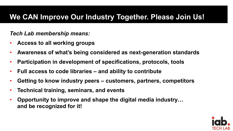# **We CAN Improve Our Industry Together. Please Join Us!**

### *Tech Lab membership means:*

- **Access to all working groups**
- **Awareness of what's being considered as next-generation standards**
- **Participation in development of specifications, protocols, tools**
- **Full access to code libraries and ability to contribute**
- **Getting to know industry peers customers, partners, competitors**
- **Technical training, seminars, and events**
- **Opportunity to improve and shape the digital media industry… and be recognized for it!**

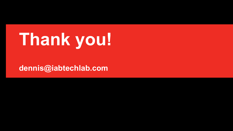# **Thank you!**

**dennis@iabtechlab.com**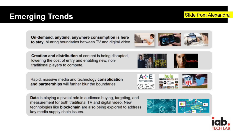# On-demand, anytime, anywhere consumption is here

**Creation and distribution** of content is being disrupted, lowering the cost of entry and enabling new, nontraditional players to compete.

Rapid, massive media and technology consolidation and partnerships will further blur the boundaries.

Data is playing a pivotal role in audience buying, targeting, and measurement for both traditional TV and digital video. New technologies like blockchain are also being explored to address key media supply chain issues.

to stay, blurring boundaries between TV and digital video.







### **Emerging Trends** Slide from Alexandra

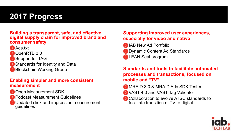# **2017 Progress**

**Building a transparent, safe, and effective digital supply chain for improved brand and consumer safety** 

Ads.txt **D**OpenRTB 3.0 Support for TAG Standards for Identity and Data **Blockchain Working Group** 

### **Enabling simpler and more consistent measurement**

**Open Measurement SDK Podcast Measurement Guidelines** Updated click and impression measurement **guidelines** 

### **Supporting improved user experiences, especially for video and native**

**D** IAB New Ad Portfolio **Dynamic Content Ad Standards DEAN Seal program** 

### **Standards and tools to facilitate automated processes and transactions, focused on mobile and "TV"**

- **MRAID 3.0 & MRAID Ads SDK Tester**
- **X VAST 4.0 and VAST Tag Validator**
- **Collaboration to evolve ATSC standards to** facilitate transition of TV to digital